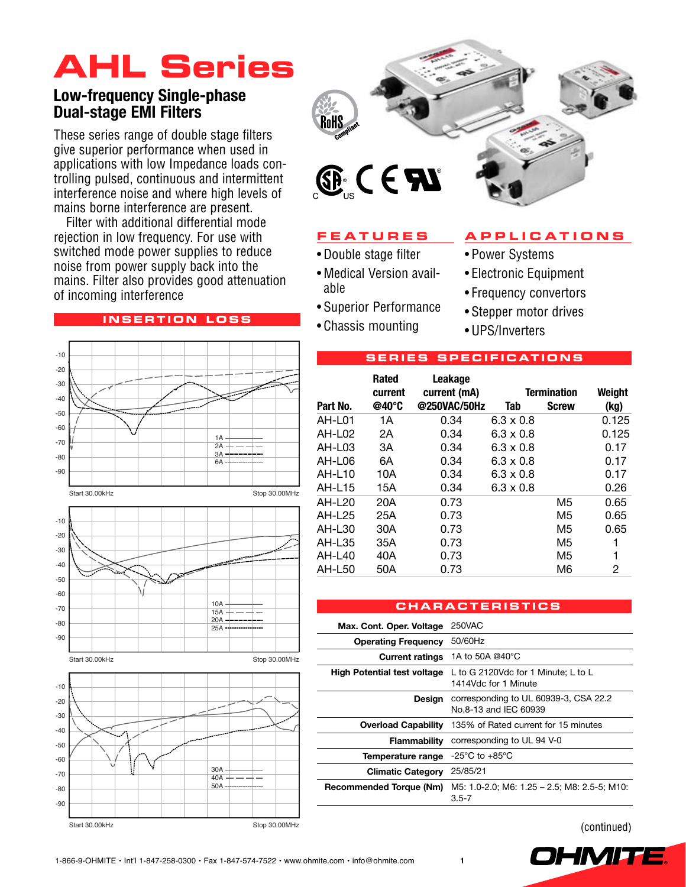# **AHL Series**

### **Low-frequency Single-phase Dual-stage EMI Filters**

These series range of double stage filters give superior performance when used in applications with low Impedance loads controlling pulsed, continuous and intermittent interference noise and where high levels of mains borne interference are present.

Filter with additional differential mode rejection in low frequency. For use with switched mode power supplies to reduce noise from power supply back into the mains. Filter also provides good attenuation of incoming interference

#### **i n s ertion l o ss**





### **F e a ture s**

- • Double stage filter
- • Medical Version available
- • Superior Performance
- • Chassis mounting

#### **a p p l i c a tion s**

- Power Systems
- • Electronic Equipment
- • Frequency convertors
- Stepper motor drives
- • UPS/Inverters

|  | <b>SERIES SPECIFICATIONS</b> |  |  |  |  |  |  |  |
|--|------------------------------|--|--|--|--|--|--|--|
|--|------------------------------|--|--|--|--|--|--|--|

|                    | <b>Rated</b><br>current | Leakage<br>current (mA) |                  | <b>Termination</b> | Weight |
|--------------------|-------------------------|-------------------------|------------------|--------------------|--------|
| Part No.           | @40°C                   | @250VAC/50Hz            | Tab              | <b>Screw</b>       | (kg)   |
| AH-L01             | 1А                      | 0.34                    | $6.3 \times 0.8$ |                    | 0.125  |
| AH-L <sub>02</sub> | 2A                      | 0.34                    | $6.3 \times 0.8$ |                    | 0.125  |
| AH-L03             | 3A                      | 0.34                    | $6.3 \times 0.8$ |                    | 0.17   |
| AH-L06             | 6A                      | 0.34                    | $6.3 \times 0.8$ |                    | 0.17   |
| AH-L10             | 10A                     | 0.34                    | $6.3 \times 0.8$ |                    | 0.17   |
| AH-L15             | 15A                     | 0.34                    | $6.3 \times 0.8$ |                    | 0.26   |
| <b>AH-L20</b>      | 20A                     | 0.73                    |                  | M5                 | 0.65   |
| AH-L25             | 25A                     | 0.73                    |                  | M5                 | 0.65   |
| AH-L30             | 30A                     | 0.73                    |                  | M5                 | 0.65   |
| AH-L35             | 35A                     | 0.73                    |                  | M5                 |        |
| AH-L40             | 40A                     | 0.73                    |                  | M5                 | 1      |
| AH-L50             | 50A                     | 0.73                    |                  | M6                 | 2      |

#### **c ha r a cteri s tic s**

| Max. Cont. Oper. Voltage           | 250VAC                                                          |
|------------------------------------|-----------------------------------------------------------------|
| <b>Operating Frequency</b>         | 50/60Hz                                                         |
| <b>Current ratings</b>             | 1A to 50A @40°C                                                 |
| <b>High Potential test voltage</b> | L to G 2120Vdc for 1 Minute; L to L<br>1414Vdc for 1 Minute     |
| Design                             | corresponding to UL 60939-3, CSA 22.2<br>No.8-13 and IFC 60939  |
|                                    | <b>Overload Capability</b> 135% of Rated current for 15 minutes |
| <b>Flammability</b>                | corresponding to UL 94 V-0                                      |
| Temperature range                  | -25°C to +85°C                                                  |
| <b>Climatic Category</b>           | 25/85/21                                                        |
| <b>Recommended Torque (Nm)</b>     | M5: 1.0-2.0; M6: 1.25 - 2.5; M8: 2.5-5; M10:<br>$3.5 - 7$       |

(continued)

OHMIT